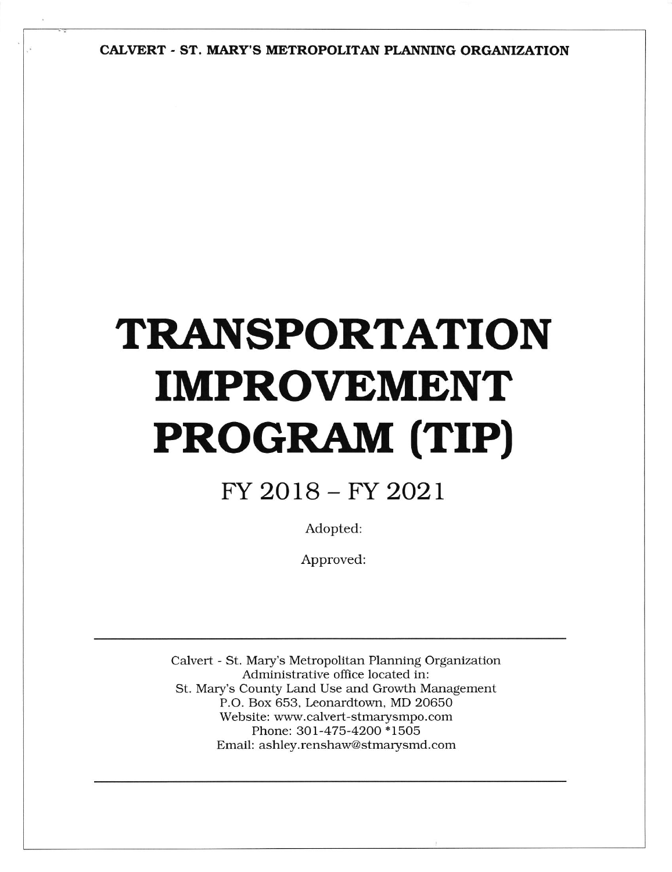CALVERT - ST. MARY'S METROPOLITAN PLANNING ORGANIZATION

# TRANSPORTATION IMPROVEMENT PROGRAM (TIP)

# $FY$  2018 -  $FY$  2021

Adopted:

Approved:

Calvert - St. Mary's Metropolitan Planning Organization Administrative office located in: St. Mary's County Land Use and Growth Management P.O. Box 653, Leonardtown, MD 20650 Website: www.calvert-stmarysmpo. com Phone: 301-475-42OO \*15O5 Email: ashley.renshaw@stmarysmd.com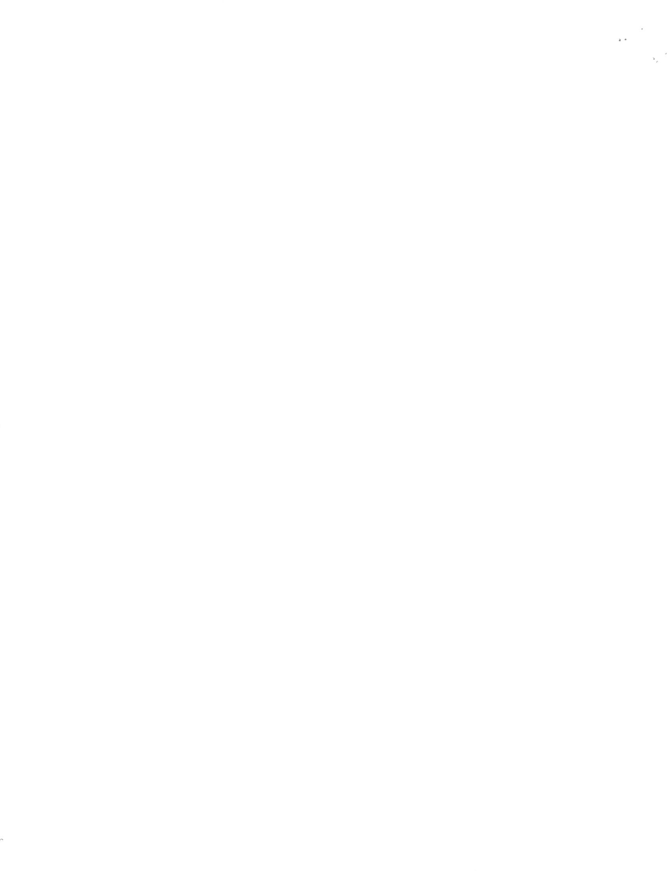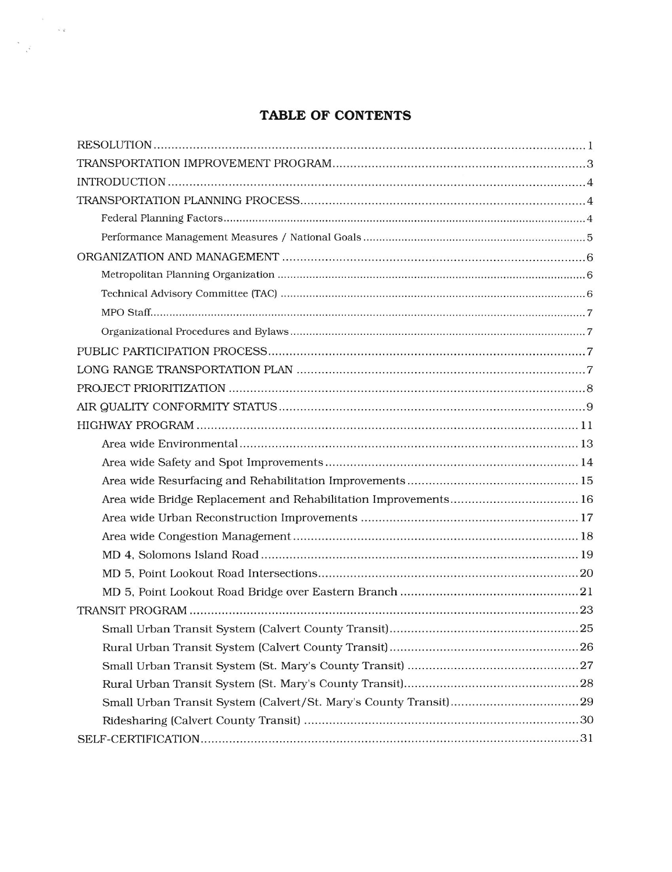## TABLE OF CONTENTS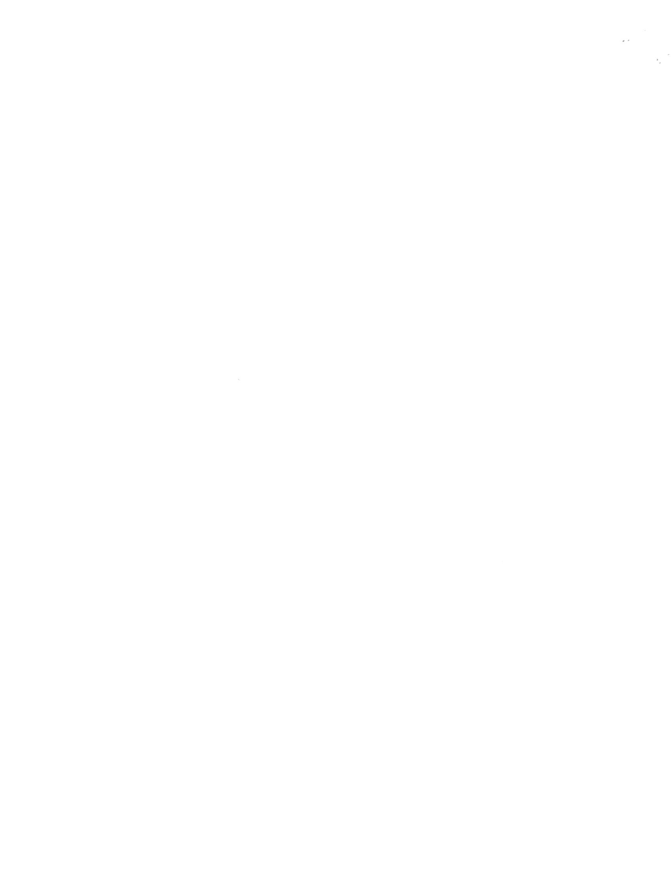$\label{eq:2} \begin{array}{c} \mathbb{R}^2\\ \mathbb{R}^2 \end{array}$  $\frac{1}{2}$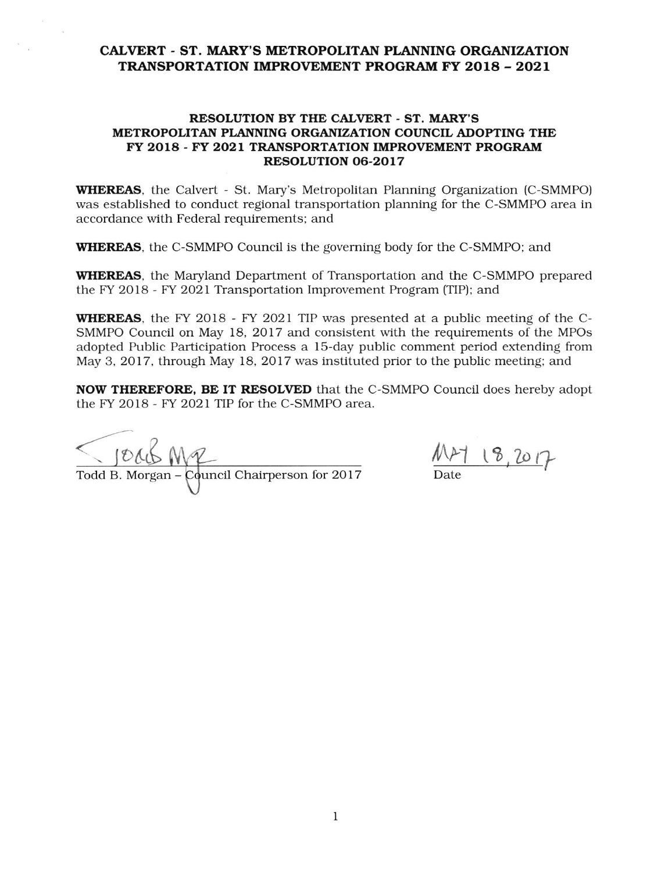#### CALVERT - ST. MARY'S METROPOLITAN PLANNING ORGANIZATION TRANSPORTATION IMPROVEMENT PROGRAM FY 2018 - 2021

#### RESOLUTION BY THE CALVERT . ST. MARY'S METROPOLITAN PLANNING ORGANIZATION COUNCIL ADOPTING THE FY 2018 -FT 2O2I TRANSPORTATION IMPROVEMENT PROGRAM RESOLUTION 06-2017

**WHEREAS**, the Calvert - St. Mary's Metropolitan Planning Organization (C-SMMPO) was established to conduct regional transportation planning for the C-SMMPO area in accordance with Federal requirements; and

WHEREAS, the C-SMMPO Council is the governing body for the C-SMMPO; and

WHEREAS, the Maryland Department of Transportation and the C-SMMPO prepared the FY 2018 - FY 2021 Transportation Improvement Program (TIP); and

WHEREAS, the FY 2018 - FY 2021 TIP was presented at a public meeting of the C-SMMPO Council on May 18, 2017 and consistent with the requirements of the MPOs adopted Public Participation Process a 15-day public comment period extending from May 3,2017, through May 18, 2Ol7 was instituted prior to the public meeting; and

NOW THEREFORE, BE IT RESOLVED that the C-SMMPO Council does hereby adopt the FY 2018 - FY 2021 TIP for the C-SMMPO area.

 $0.20$  MP Todd B. Morgan - Council Chairperson for 2017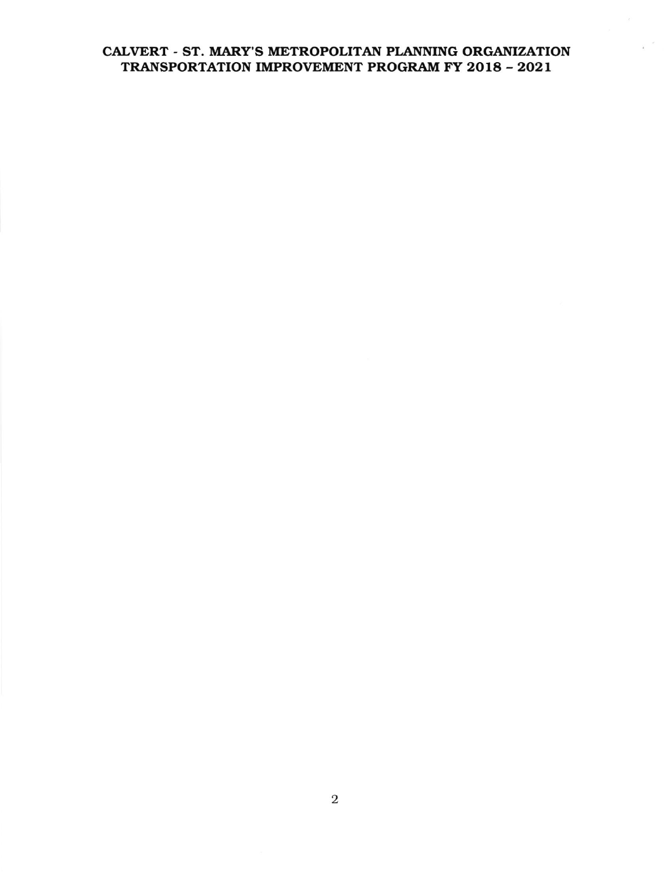## CALVERT - ST. MARY'S METROPOLITAN PLANNING ORGANIZATION TRANSPORTATION IMPROVEMENT PROGRAM FY 2OI8 -2O2I